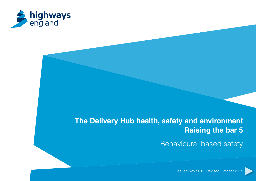

# **The Delivery Hub health, safety and environment Raising the bar 5**

Behavioural based safety

Issued Nov 2012, Revised October 2015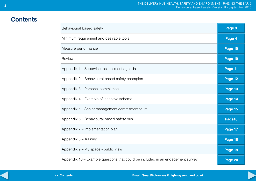## **Contents**

| Behavioural based safety                                                       | Page 3  |
|--------------------------------------------------------------------------------|---------|
| Minimum requirement and desirable tools                                        | Page 4  |
| Measure performance                                                            | Page 10 |
| Review                                                                         | Page 10 |
| Appendix 1 - Supervisor assessment agenda                                      | Page 11 |
| Appendix 2 – Behavioural based safety champion                                 | Page 12 |
| Appendix 3 - Personal commitment                                               | Page 13 |
| Appendix 4 – Example of incentive scheme                                       | Page 14 |
| Appendix 5 – Senior management commitment tours                                | Page 15 |
| Appendix 6 - Behavioural based safety bus                                      | Page16  |
| Appendix 7 - Implementation plan                                               | Page 17 |
| Appendix 8 - Training                                                          | Page 18 |
| Appendix 9 - My space - public view                                            | Page 19 |
| Appendix 10 - Example questions that could be included in an engagement survey | Page 20 |
| << Contents<br>Email: SmartMotorways@highwaysengland.co.uk                     |         |

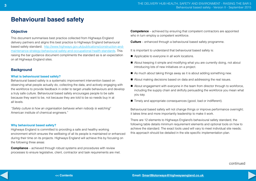## **Behavioural based safety**

## **Objective**

This document summarises best practice collected from Highways England delivery partners and aligns this best practice to Highways England behavioural based safety standard; [http://www.highways.gov.uk/publications/construction-and](http://www.highways.gov.uk/publications/construction-and-maintenance-strategy-behavioural-safety-and-occupational-health-standards)[maintenance-strategy-behavioural-safety-and-occupational-health-standards](http://www.highways.gov.uk/publications/construction-and-maintenance-strategy-behavioural-safety-and-occupational-health-standards). This raising the bar guidance document compliments the standard as is an expectation on all Highways England sites.

### **Background**

#### **What is behavioural based safety?**

Behavioural based safety is a systematic improvement intervention based on observing what people actually do, collecting the data, and actively engaging with the workforce to provide feedback in order to target unsafe behaviours and develop a truly safe culture. Behavioural based safety encourages people to be safe because they want to be, not because they are told to be so needs buy in at all levels.

*"Safety culture is how an organisation behaves when nobody is watching*'' American institute of chemical engineers."

#### **Why behavioural based safety?**

Highways England is committed to providing a safe and healthy working environment which ensures the wellbeing of all its people is maintained or enhanced during their time on its projects. Highways England will achieve this by focusing on the following three areas:

**Compliance** – achieved through robust systems and procedures with review processes to ensure legislative, client, contractor and task requirements are met. **Competence** – achieved by ensuring that competent contractors are appointed who in turn employ a competent workforce.

**Culture** – enhanced through a behavioural based safety programme.

It is important to understand that behavioural based safety is:

- Applicable to everyone in all work locations.
- About keeping it simple and modifying what you are currently doing, not about introducing lots of new initiatives on a project.
- $\blacksquare$  As much about taking things away as it is about adding something new.
- About making decisions based on data and addressing the real issues.
- About engagement with everyone in the team from director through to workforce, including the supply chain and skilfully persuading the workforce you mean what you say.
- Timely and appropriate consequences (good, bad or indifferent).

Behavioural based safety will not change things or improve performance overnight; it takes time and more importantly leadership to make it work.

There are 12 elements to Highways England's behavioural safety standard, the following table details minimum requirement elements and optional tools on how to achieve the standard. The exact tools used will vary to meet individual site needs; this approach should be detailed in the site specific implementation plan.

continued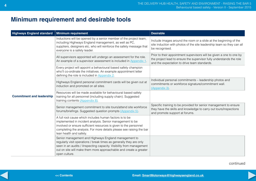# **Minimum requirement and desirable tools**

| <b>Highways England standard</b> | <b>Minimum requirement</b>                                                                                                                                                                                                                                                                   | <b>Desirable</b>                                                                                                                                                                             |
|----------------------------------|----------------------------------------------------------------------------------------------------------------------------------------------------------------------------------------------------------------------------------------------------------------------------------------------|----------------------------------------------------------------------------------------------------------------------------------------------------------------------------------------------|
|                                  | Inductions will be opened by a senior member of the project team,<br>including Highways England management, as well as PC,<br>suppliers, designers etc, who will reinforce the safety message that<br>everyone is a safety leader.                                                           | Include images around the room or a slide at the beginning of the<br>site induction with photos of the site leadership team so they can all<br>be recognised.                                |
|                                  | All supervisors appointed will undergo an assessment for the role.<br>An example of a supervisor assessment is included in Appendix 1.                                                                                                                                                       | Prior to their appointment supervisors will be given a one to one by<br>the project lead to ensure the supervisor fully understands the role<br>and the expectation to drive team standards. |
|                                  | Every project will appoint a behavioural based safety champion<br>who'll co-ordinate the initiatives. An example appointment letter<br>defining the role is included in Appendix 2.                                                                                                          |                                                                                                                                                                                              |
|                                  | Highways England personal commitment cards will be given out at<br>induction and promoted on all sites.                                                                                                                                                                                      | Individual personal commitments - leadership photos and<br>commitments or workforce signature/commitment wall.<br>(Appendix 3).                                                              |
| <b>Commitment and leadership</b> | Resources will be made available for behavioural based safety<br>training for all personnel (including supply chain). Suggested<br>training contents (Appendix 8).                                                                                                                           |                                                                                                                                                                                              |
|                                  | Senior management commitment to site tours/attend site workforce<br>forums/briefings. Suggested question prompts (Appendix 5).                                                                                                                                                               | Specific training to be provided for senior management to ensure<br>they have the skills and knowledge to carry out tours/inspections<br>and promote support at forums.                      |
|                                  | A full root cause which includes human factors is to be<br>implemented in incident analysis. Senior management to be<br>involved or ensure sufficient resources is given to the personnel<br>completing the analysis. For more details please see raising the bar<br>lean health and safety. |                                                                                                                                                                                              |
|                                  | Senior management and Highways England management to<br>regularly visit operations / break times as generally they are only<br>seen in an audits / ilnspecting capacity. Visibility from management<br>out on site will make them more approachable and create a greater<br>open culture.    |                                                                                                                                                                                              |

continued

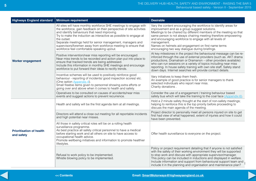| <b>Highways England standard</b>              | <b>Minimum requirement</b>                                                                                                                                                                                                                                                                                                                                                                                                                                   | <b>Desirable</b>                                                                                                                                                                                                                                                                                                                                                                                                                             |
|-----------------------------------------------|--------------------------------------------------------------------------------------------------------------------------------------------------------------------------------------------------------------------------------------------------------------------------------------------------------------------------------------------------------------------------------------------------------------------------------------------------------------|----------------------------------------------------------------------------------------------------------------------------------------------------------------------------------------------------------------------------------------------------------------------------------------------------------------------------------------------------------------------------------------------------------------------------------------------|
| <b>Worker engagement</b>                      | All sites will have monthly workforce SHE meetings to engage with<br>the workforce, gain feedback on their perspective of site activities<br>and identify behaviours that need improving.<br>Try to make the induction as interactive as possible to engage at<br>the outset.<br>Separate meetings held for senior management, managers and<br>supervisors/foremen away from workforce meeting to ensure that<br>workforce feel comfortable speaking up/out. | Vary the content encouraging the workforce to identify areas for<br>improvement and as a group suggest solutions.<br>Meetings to be chaired by different members of the meeting so that<br>same person is not always chairing meeting therefore empowering<br>and encouraging workforce to engage with all levels of<br>management.<br>Names on helmets aid engagement on first name terms<br>encouraging two way dialogue during briefings. |
|                                               | Positive intervention/near miss reporting will be encouraged.<br>Near miss trends to be recorded and action plan put into place to<br>ensure that tracked trends are being addressed.<br>Include this information in monthly SHE meetings and encourage<br>workforce to put forward their ideas to rectify trends.                                                                                                                                           | At key milestones in the project the behavioural message can be re-<br>inforced through the use of external providers (such as. AKT drama<br>productions, Dramatrain or Dramanon - other providers available)<br>who can run sessions on a variety of topics including near miss<br>reporting. In house safety training with own site staff, Safety stand<br>down days. Internet searches will provide contact details.                      |
|                                               | Incentive schemes will be used to positively reinforce good<br>behaviour - reporting of incidents/ good inspection scores/ etc.<br>(One option Appendix 4).<br>Small freebie items given to personnel showing extra efforts or<br>going over and above when it comes to health and safety.                                                                                                                                                                   | Vary initiatives to keep them fresh.<br>An example of good practice is for senior managers to thank<br>selected individuals who report near miss.<br>Charity donations.                                                                                                                                                                                                                                                                      |
|                                               | Operatives to be consulted on causes of accidents/near miss<br>events and suggest actions to prevent recurrence.                                                                                                                                                                                                                                                                                                                                             | Consider the use of a engagement / training behaviour based<br>safety bus which will take the training to the coal face (Appendix 6).                                                                                                                                                                                                                                                                                                        |
| <b>Prioritisation of health</b><br>and safety | Health and safety will be the first agenda item at all meetings.                                                                                                                                                                                                                                                                                                                                                                                             | Hold a 2 minute safety thought at the start of non-safety meetings;<br>helping to reinforce this is the top priority before proceeding to<br>discuss the main agenda of the meeting.                                                                                                                                                                                                                                                         |
|                                               | Directors will attend a close out meeting for all reportable incidents<br>and high potential near misses.                                                                                                                                                                                                                                                                                                                                                    | Project director to personally meet all persons injured on site to get<br>first had view of what happened, extent of injuries and how it could<br>have been prevented.                                                                                                                                                                                                                                                                       |
|                                               | All those in safety critical roles will be on a rolling health<br>surveillance programme.<br>As best practice all safety critical personnel to have a medical<br>before starting work and all others on site to have access to<br>occupational health advice.<br>Promote wellbeing initiatives and information to promote healthier<br>lifestyles.                                                                                                           | Offer health surveillance to everyone on the project.                                                                                                                                                                                                                                                                                                                                                                                        |
|                                               | Refusal to work policy to be implemented.<br>Whistle blowing policy to be implemented.                                                                                                                                                                                                                                                                                                                                                                       | Policy or project requirement detailing that if anyone is not satisfied<br>with the safety of their working environment they will be supported<br>to stop work and discuss with appropriate supervisor/manager.<br>This policy can be included in inductions and displayed in welfare.<br>Include information and support from behavioural support team and<br>include it in the planning and organisation and maintenance plan?             |

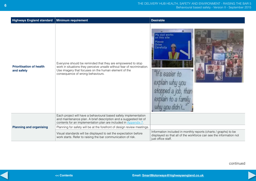| <b>Highways England standard</b>              | <b>Minimum requirement</b>                                                                                                                                                                                                        | <b>Desirable</b>                                                                                                                                            |
|-----------------------------------------------|-----------------------------------------------------------------------------------------------------------------------------------------------------------------------------------------------------------------------------------|-------------------------------------------------------------------------------------------------------------------------------------------------------------|
| <b>Prioritisation of health</b><br>and safety | Everyone should be reminded that they are empowered to stop<br>work in situations they perceive unsafe without fear of recrimination.<br>Use imagery that focuses on the human element of the<br>consequence of wrong behaviours. | My dad works<br>on this site<br>Please<br><b>Drive</b><br>Carefully<br>"It's easier to<br>pped a job,<br>explain to a family<br>why you didn't              |
|                                               | Each project will have a behavioural based safety implementation<br>and maintenance plan. A brief description and a suggested list of<br>contents for an implementation plan are included in Appendix 7.                          |                                                                                                                                                             |
| <b>Planning and organising</b>                | Planning for safety will be at the forefront of design review meetings.                                                                                                                                                           |                                                                                                                                                             |
|                                               | Visual standards will be displayed to set the expectation before<br>work starts. Refer to raising the bar communication of risk.                                                                                                  | Information included in monthly reports (charts / graphs) to be<br>displayed so that all of the workforce can see the information not<br>just office staff. |

continued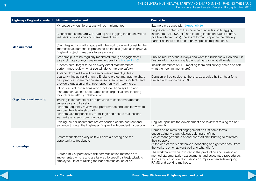| <b>Highways England standard</b> | <b>Minimum requirement</b>                                                                                                                                                                                                                                                                                    | <b>Desirable</b>                                                                                                                                                                                                                                                                                                    |
|----------------------------------|---------------------------------------------------------------------------------------------------------------------------------------------------------------------------------------------------------------------------------------------------------------------------------------------------------------|---------------------------------------------------------------------------------------------------------------------------------------------------------------------------------------------------------------------------------------------------------------------------------------------------------------------|
|                                  | My space ownership of areas will be implemented.                                                                                                                                                                                                                                                              | Example my space plan (Appendix 9).                                                                                                                                                                                                                                                                                 |
| <b>Measurement</b>               | A consistent scorecard with leading and lagging indicators will be<br>fed back to workforce and management team.                                                                                                                                                                                              | Suggested contents of the score card includes both lagging<br>indicators (AFR, SWAFR) and leading indicators (audit scores,<br>positive interventions), the exact format is open to the delivery<br>partner as there can be company specific requirements.                                                          |
|                                  | Client Inspections will engage with the workforce and consider the<br>impression/culture that is presented on the site (such as Highways<br>England project manager site safety tours).                                                                                                                       |                                                                                                                                                                                                                                                                                                                     |
|                                  | Leadership is to be regularly monitored through engagement /<br>safety climate surveys (see example questions Appendix 10).                                                                                                                                                                                   | Publish results of the surveys and what the business will do about it.<br>Ensure information is available to all personnel at all levels.                                                                                                                                                                           |
|                                  | A behavioural target to be on every direct staff members<br>performance review (what you will do to improve safety).                                                                                                                                                                                          | Include members of SHE meeting team and supply chain and ask<br>what their commitments are?                                                                                                                                                                                                                         |
| <b>Organisational learning</b>   | A stand down will be led by senior management (at least<br>quarterly), including Highways England project manager to share<br>best practice, share root cause lessons learnt from incidents and<br>provide a question and answer opportunity with workforce.                                                  | Duration will be subject to the site, as a guide half an hour for a<br>Project with workforce of 200.                                                                                                                                                                                                               |
|                                  | Introduce joint inspections which include Highways England<br>management as this encourages cross organisational learning<br>through team effort / collaboration.                                                                                                                                             |                                                                                                                                                                                                                                                                                                                     |
|                                  | Training in leadership skills is provided to senior management,<br>supervisors and key staff.<br>Leaders frequently review their performance and look for ways to<br>improve their leadership skills.<br>Leaders take responsibility for failings and ensure that lessons<br>learned are openly communicated. |                                                                                                                                                                                                                                                                                                                     |
|                                  | Raising the bar documents are embedded on the contract and<br>evidence through the Highways England independent inspection                                                                                                                                                                                    | Regular input into the development and review of raising the bar<br>documents                                                                                                                                                                                                                                       |
| <b>Knowledge</b>                 | Before work starts every shift will have a briefing and the<br>opportunity to feedback.                                                                                                                                                                                                                       | Names on helmets aid engagement on first name terms<br>encouraging two way dialogue during briefings.<br>Senior management to attend pre-start shift briefing to reinforce<br>their support.<br>At the end of every shift have a debriefing and get feedback from<br>the workers on what went well and what didn't. |
|                                  | A broad mix of persuasive risk communication methods are<br>implemented on site and are tailored to specific sites/job/task is<br>employed. Refer to raising the bar communication of risk.                                                                                                                   | The workforce will be involved in the production and revision of<br>method statements/risk assessments and associated procedures.<br>Also carry out on site discussions on improvements/developing<br>RAMS and working methods.                                                                                     |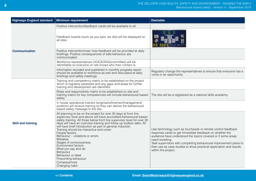| <b>Highways England standard</b> | <b>Minimum requirement</b>                                                                                                                                                                                                                                                                                                                                                                                                                                                                                                                                                                                                                           | <b>Desirable</b>                                                                                                                                                                                                                                                                                                                                                             |
|----------------------------------|------------------------------------------------------------------------------------------------------------------------------------------------------------------------------------------------------------------------------------------------------------------------------------------------------------------------------------------------------------------------------------------------------------------------------------------------------------------------------------------------------------------------------------------------------------------------------------------------------------------------------------------------------|------------------------------------------------------------------------------------------------------------------------------------------------------------------------------------------------------------------------------------------------------------------------------------------------------------------------------------------------------------------------------|
|                                  | Positive intervention/feedback cards will be available to all.                                                                                                                                                                                                                                                                                                                                                                                                                                                                                                                                                                                       |                                                                                                                                                                                                                                                                                                                                                                              |
|                                  | Feedback boards (such as you said, we did) will be displayed on<br>all sites.                                                                                                                                                                                                                                                                                                                                                                                                                                                                                                                                                                        |                                                                                                                                                                                                                                                                                                                                                                              |
| <b>Communication</b>             | Positive intervention/near miss feedback will be provided at daily<br>briefings. Positive consequences of safe behaviour are<br>communicated.                                                                                                                                                                                                                                                                                                                                                                                                                                                                                                        |                                                                                                                                                                                                                                                                                                                                                                              |
|                                  | Workforce representatives (VOICE/SAG/committee) will be<br>identifiable so everyone on site knows who their contact is.                                                                                                                                                                                                                                                                                                                                                                                                                                                                                                                              |                                                                                                                                                                                                                                                                                                                                                                              |
|                                  | Information recoded and published in monthly progress report<br>should be available to workforce as well and discussed at daily<br>briefings and safety meetings.                                                                                                                                                                                                                                                                                                                                                                                                                                                                                    | Regularly change the representatives to ensure that everyone has a<br>voice or an opportunity.                                                                                                                                                                                                                                                                               |
| <b>Skill and training</b>        | Training and competency matrix to be established on the project<br>which is regularly assessed and any gaps and areas for further<br>training and development are identified.                                                                                                                                                                                                                                                                                                                                                                                                                                                                        |                                                                                                                                                                                                                                                                                                                                                                              |
|                                  | Roles and responsibility matrix to be established on site and<br>training matrix for key competencies will include behavioural based<br>safety.                                                                                                                                                                                                                                                                                                                                                                                                                                                                                                      | The site will be a registered as a national skills academy.                                                                                                                                                                                                                                                                                                                  |
|                                  | In house operational trainers (engineers/foremen/management/<br>auditors) will receive training so they can deliver the behavioural<br>based safety message to the site.                                                                                                                                                                                                                                                                                                                                                                                                                                                                             |                                                                                                                                                                                                                                                                                                                                                                              |
|                                  | All planning to be on the project for over 30 days at front line<br>supervisor level and above will have accredited behavioural based<br>safety training. All those below front line supervisor level for over 30<br>days will have an overview training and follow up toolbox talks. All<br>will have brief introduction as part of general induction.<br>Training should be interactive and cover:<br>People factors<br>Behaviour - violations or errors<br><b>Mistakes</b><br>Stages of consciousness<br>Environment factors<br>What you say and do<br>Behaviour<br>Behaviour or label<br>Pinpointing behaviour<br>Consequences<br>Changing habit | Use technology such as touchpads or remote control feedback<br>response cards to get immediate feedback on whether the<br>audience have understood the topics covered or if some areas<br>need revisiting.<br>Task supervisors with completing behavioural improvement plans to<br>then use as case studies to show practical application and results<br>within the project. |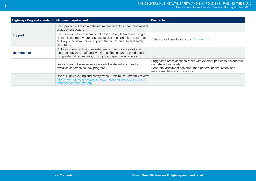| <b>Highways England standard</b> | <b>Minimum requirement</b>                                                                                                                                                                                                | <b>Desirable</b>                                                                                                                                                                                          |
|----------------------------------|---------------------------------------------------------------------------------------------------------------------------------------------------------------------------------------------------------------------------|-----------------------------------------------------------------------------------------------------------------------------------------------------------------------------------------------------------|
|                                  | Each project will have a behavioural based safety champion/worker<br>engagement coach.                                                                                                                                    |                                                                                                                                                                                                           |
| <b>Support</b>                   | Each site will have a behavioural based safety team comprising of<br>client, clients rep (where applicable) designer, principal contractor<br>and key subcontractors to support the behavioural based safety<br>champion. | Behavioural based safety bus (Appendix 6).                                                                                                                                                                |
| <b>Maintenance</b>               | Culture surveys will be completed (minimum twice a year) and<br>feedback given to staff and workforce. These can be conducted<br>using external consultants, or simply a paper based survey.                              |                                                                                                                                                                                                           |
|                                  | Lessons learnt between suppliers will be shared and used to<br>revitalise schemes as they progress.                                                                                                                       | Suggested cross sectional visits with different parties to collaborate<br>on behavioural safety.<br>Separate visits/meetings other than general health, safety and<br>environmental visits or site tours. |
|                                  | Use of Highways England safety wheel - minimum 6 monthly review<br>http://www.highways.gov.uk/our-road-network/safety/construction-<br>and-maintenance-strategy                                                           |                                                                                                                                                                                                           |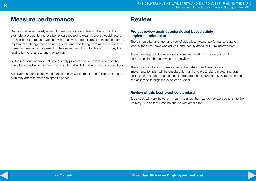The delivery hub Health, safety and environment - raising the bar 5 Behavioural based safety - Version II - September 2015 **10**

## **Measure performance**

Behavioural based safety is about measuring data and feeding back on it. For example, a project to improve behaviours regarding wearing gloves would record the number of personnel working without gloves, feed this back to those concerned, implement a change (such as new gloves) and monitor again to measure whether there has been an improvement. If the desired result is not achieved, this may then lead to further changes and monitoring.

All the individual behavioural based safety projects should collectively raise the overall standard which is measured via internal and Highways England inspections.

Achievement against the implementation plan will be monitored at site level and the plan may adapt to meet site specific needs.

## **Review**

## **Project review against behavioural based safety implementation plan**

There should be an ongoing review of objectives against performance data to identify tools that have worked well, and identify areas for future improvement.

Team meetings and the workforce committee meetings provide a forum for communicating the outcomes of the review.

The existence of and progress against the behavioural based safety implementation plan will be checked during Highways England project manager and health and safety inspections, independent health and safety inspections and self assessed through the excellence wheel.

### **Review of this best practice standard**

Tools used will vary, however if you have a tool that has worked well, send it into the Delivery Hub so that it can be shared with other sites.

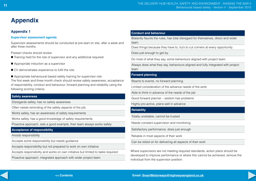## <span id="page-10-0"></span>**Appendix 1**

#### **Supervisor assessment agenda**

Supervisor assessments should be conducted at pre-start on site, after a week and after three months.

Prestart checks should review:

- Training held for the role of supervisor and any additional required.
- Appropriate induction as a supervisor
- $\blacksquare$  CV demonstrates experience to fulfil the role.
- Appropriate behavioural based safety training for supervisor role.

The first week and three month check should review safety awareness, acceptance of responsibility, conduct and behaviour, forward planning and reliability using the following scoring criteria:

#### **Safety awareness**

Disregards safety, has no safety awareness

Often needs reminding of the safety aspects of the job.

Works safely, has an awareness of safety requirements

Works safely, has a good knowledge of safety requirements.

Proactive approach, sets a good example, their team always works safely

### **Acceptance of responsibility**

Avoids responsibility

Accepts some responsibility but needs guidance

Accepts responsibility but not prepared to work on own initiative

Accepts responsibility and works on own initiative but limited to tasks required

Proactive approach, integrated approach with wider project team.

#### **Conduct and behaviour**

Blatantly flaunts the rules, has total disregard for themselves, direct and wider team.

Does things because they have to, try's to cut corners at every opportunity.

Does just enough to get by.

Do most of what they say, some behaviours aligned with project team.

Always does what they say, behaviours aligned and fully integrated with project team

#### **Forward planning**

Reacts to events, no forward planning.

Limited consideration of the advance needs of the work

Able to think in advance of the needs of the job

Good forward planner – seldom has problems

Highly pro-active, plans well in advance

#### **Reliability**

Totally unreliable, cannot be trusted

Needs constant supervision and monitoring

Satisfactory performance, does just enough

Reliable in most aspects of their work

Can be relied on for delivering all aspects of their work

Where supervisors are not meeting required standards, action plans should be developed to improve performance or where this cannot be achieved, remove the individual from the supervisor position.



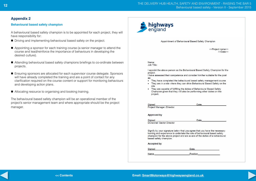#### <span id="page-11-0"></span>**Behavioural based safety champion**

A behavioural based safety champion is to be appointed for each project, they will have responsibility for:

- Driving and implementing behavioural based safety on the project.
- Appointing a sponsor for each training course (a senior manager to attend the course and lead/reinforce the importance of behaviours in developing the desired culture).
- Attending behavioural based safety champions briefings to co-ordinate between projects.
- Ensuring sponsors are allocated for each supervisor course delegate. Sponsors will have already completed the training and are a point of contact for any clarification required on the course content or support for monitoring behaviours and developing action plans.
- Allocating resource to organising and booking training.

The behavioural based safety champion will be an operational member of the project's senior management team and where appropriate should be the project manager.



Appointment of Behavioural Based Safety Champion

<<Project name>> <<Date>>

Name: Job Title:

I appoint the above person as the Behavioural Based Safety Champion for the project.

I have assessed their competence and consider him/her suitable for the post as

- They have completed the behavioural based safety management course
- They are in a role where they can drive Behavioural Based Safety on the  $\bullet$ site
- They are capable of fulfilling the duties of Behavioural Based Safety Champion given that they will also be performing other duties on the project.

Signed Project Manager /Director Date

**Approved by** 

Signed Divisional/ Sector Director Date

Signify by your signature below that you agree that you have the necessary training and experience to undertake the role of behavioural based safety champion for the above project and are aware of the duties of a behavioural based safety champion.

**Accepted by** 

Signed

Name

Position

Date

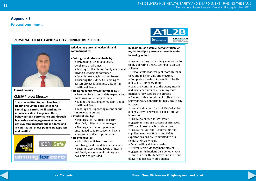<span id="page-12-0"></span>**Personal commitment**

## PERSONAL HEALTH AND SAFETY COMMITMENT 2015



Dave Lowery

**CMSJV Project Director** 

'I am committed to our objective of Health and Safety excellence at A1 Leeming to Barton, I will continue to influence a step change in culture. behaviour and performance and through leadership and engagement strive to achieve zero accidents and incidents and ensure that all of our people are kept safe and healthy.'



I pledge my personal leadership and commitment to:

- Set High and raise standards by:
	- Demanding Health and Safety excellence at all times
	- . Leading on Health and Safety issues and driving a leading performance
	- Quickly resolving important issues
	- Ensuring the CMSJV A1 Leeming to Barton project is an industry leader in Health and Safety.
- . Be Open about my commitment by:
	- . Ensuring Health and Safety expectations
- are known to the project team
- . Talking and listening to my team about **Health and Safety**
- Leading and supporting a continuous improvement culture
- Confront risk by:
	- Making sure that major risks are identified, mitigated and managed
	- Making sure that our people are encouraged to raise concerns, have a
- voice and are able to get answers • Be Proactive by:
	- Allocating sufficient time and
	- prioritising Health and Safety initiatives • Ensuring appropriate levels of Health
	- and Safety resource and training are available and provided



In addition, as a visible demonstration of my leadership. I personally commit to the following actions:

- Ensure that my team is fully committed to safely delivering the A1 Leeming to Barton Scheme
- Demonstrate leadership at monthly team talks and H & S forums and meetings
- Complete a Leadership in Action Health and Safety tour every month

• Lead and contribute to the DWBy Health and Safety culture and ensure my team members fully support the process

- . Demonstrate commitment to Health and Safety at every opportunity in my day to day business
- . Lead and drive our 'Perfect Day' objective and ensure we deliver excellence through innovation
- · Ensure excellence in workforce engagement through successful BBS, SAG, DWBy and positive intervention forums
- $\bullet$  Ensure that our sub  $-$  contractors and suppliers meet our Health and Safety expectations and are committed to our Health and Safety goals
- Be a Health and Safety leader
- Deliver Senior Management project engagement inductions on a periodic basis
- Lead our 'Health like Safety' initiative and deliver the necessary step change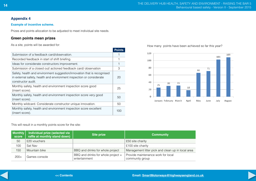### <span id="page-13-0"></span>**Example of incentive scheme.**

Prizes and points allocation to be adjusted to meet individual site needs.

## **Green points mean prizes**

As a site, points will be awarded for:

|                                                                                                                                                                       | <b>Points</b> |
|-----------------------------------------------------------------------------------------------------------------------------------------------------------------------|---------------|
| Submission of a feedback card/observation.                                                                                                                            |               |
| Recorded feedback in start of shift briefing.                                                                                                                         |               |
| Ideas for considerate constructors improvement.                                                                                                                       |               |
| Submission of a closed out/ actioned feedback card/ observation                                                                                                       | 3             |
| Safety, health and environment suggestion/innovation that is recognised<br>in external safety, health and environment inspection or considerate<br>constructor audit. | 20            |
| Monthly safety, health and environment inspection score good<br>(insert score).                                                                                       | 25            |
| Monthly safety, health and environment inspection score very good<br>(insert score).                                                                                  | $50^{\circ}$  |
| Monthly wildcard. Considerate constructor unique innovation.                                                                                                          | 50            |
| Monthly safety, health and environment inspection score excellent<br>(insert score).                                                                                  | 100           |

## How many points have been achieved so far this year?



This will result in a monthly points score for the site:

| <b>Monthly</b><br>score | Individual prize (selected via<br>raffle at monthly stand down) | Site prize                                          | <b>Community</b>                                      |
|-------------------------|-----------------------------------------------------------------|-----------------------------------------------------|-------------------------------------------------------|
| 50                      | £20 vouchers                                                    |                                                     | £50 site charity                                      |
| 100                     | Sat Nav                                                         |                                                     | £100 site charity                                     |
| 150                     | Mountain bike                                                   | BBQ and drinks for whole project                    | Management litter pick and clean up in local area     |
| $200+$                  | Games console                                                   | BBQ and drinks for whole project +<br>entertainment | Provide maintenance work for local<br>community group |

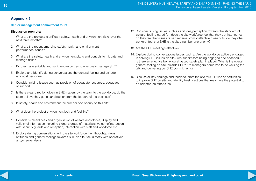#### <span id="page-14-0"></span>**Senior management commitment tours**

#### **Discussion prompts:**

- 1. What are the project's significant safety, health and environment risks over the next three months?
- 2. What are the recent emerging safety, health and environment performance issues?
- 3. What are the safety, health and environment plans and controls to mitigate and manage risks?
- 4. Do they have suitable and sufficient resources to effectively manage SHE?
- 5. Explore and identify during conversations the general feeling and attitude amongst personnel.
- 6. Consider raising issues such as provision of adequate resources, adequacy of support.
- 7. Is there clear direction given in SHE matters by the team to the workforce; do the team believe they get clear direction from the leaders of the business?
- 8. Is safety, health and environment the number one priority on this site?
- 9. What does the project environment look and feel like?
- 10. Consider cleanliness and organisation of welfare and offices, display and validity of information including signs; storage of materials; welcome/interaction with security guards and reception; interaction with staff and workforce etc.
- 11. Explore during conversations with the site workforce their thoughts, views, attitudes and general feelings towards SHE on site (talk directly with operatives and/or supervisors).
- 12. Consider raising issues such as attitudes/perception towards the standard of welfare, feeling cared for; does the site workforce feel that they get listened to; do they feel that issues raised receive prompt effective close outs; do they (the workers) feel that SHE is the site's number one priority?
- 13. Are the SHE meetings effective?
- 14. Explore during conversations issues such a: Are the workforce actively engaged in solving SHE issues on site? Are supervisors being engaged and coached? Is there an effective behavioural based safety plan in place? What is the overall general feeling on site towards SHE? Are managers perceived to be walking the talk and delivering our SHE commitments?
- 15. Discuss all key findings and feedback from the site tour. Outline opportunities to improve SHE on site and identify best practices that may have the potential to be adopted on other sites.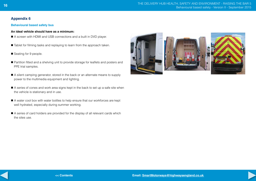#### <span id="page-15-0"></span>**Behavioural based safety bus**

#### **An ideal vehicle should have as a minimum:**

- A screen with HDMI and USB connections and a built in DVD player.
- Tablet for filming tasks and replaying to learn from the approach taken.
- Seating for 9 people.
- Partition fitted and a shelving unit to provide storage for leaflets and posters and PPE trial samples.
- A silent camping generator, stored in the back or an alternate means to supply power to the multimedia equipment and lighting.
- A series of cones and work area signs kept in the back to set up a safe site when the vehicle is stationary and in use.
- A water cool box with water bottles to help ensure that our workforces are kept well hydrated, especially during summer working.
- A series of card holders are provided for the display of all relevant cards which the sites use.

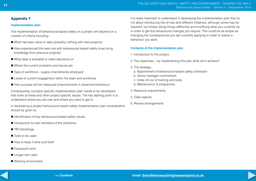## <span id="page-16-0"></span>**Implementation plan**

The implementation of behavioural based safety on a project will depend on a number of criteria including:

- $\blacksquare$  What has been done to date (possibly nothing with new projects)
- $\blacksquare$  How experienced the team are with behavioural based safety (may bring knowledge from previous projects)
- $\blacksquare$  What data is available to make decisions on
- $\blacksquare$  Where the current problems and issues are
- $\blacksquare$  Type of workforce supply chain/directly employed
- $\blacksquare$  Levels of current engagement within the team and workforce
- How success will be measured (improvements in observed behaviour)

Consequently, a project specific implementation plan needs to be developed that looks at these and other project specific issues. The key starting point is to understand where you are now and where you want to get to.

In developing a project behavioural based safety implementation plan consideration should be given to:

- $\blacksquare$  Identification of key behavioural based safety issues
- $\blacksquare$  Introduction to new members of the workforce
- TBT's/briefings
- Tools to be used
- $\blacksquare$  How to keep it alive and fresh
- $\blacksquare$  Easy/quick wins
- Longer term plan
- Working environment

It is really important to understand in developing the implementation plan that it's not about introducing lots of new and different initiatives, although some may be required, but simply doing things differently and modifying what you currently do in order to get the behavioural changes you require. This could be as simple as changing the consequences you are currently applying in order to realise a behaviour you want.

## **Contents of the implementation plan**

- 1. Introduction to the project.
- 2. The objectives by implementing this plan what will it achieve?
- 3. The strategy:
	- a. Appointment of behavioural based safety champion
	- b. Senior manager commitment
	- c. Initial roll out of training and tools.
- d. Maintenance of programme.
- 4. Resource requirements
- 5. Data capture
- 6. Review arrangements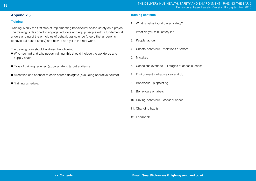#### <span id="page-17-0"></span>**Training**

Training is only the first step of implementing behavioural based safety on a project. The training is designed to engage, educate and equip people with a fundamental understanding of the principles of behavioural science (theory that underpins behavioural based safety) and how to apply it in the real world.

The training plan should address the following:

- Who has had and who needs training, this should include the workforce and supply chain.
- Type of training required (appropriate to target audience).
- Allocation of a sponsor to each course delegate (excluding operative course).
- Training schedule.

#### **Training contents**

- 1. What is behavioural based safety?
- 2. What do you think safety is?
- 3. People factors
- 4. Unsafe behaviour violations or errors
- 5. Mistakes
- 6. Conscious overload 4 stages of consciousness.
- 7. Environment what we say and do
- 8. Behaviour pinpointing
- 9. Behaviours or labels.
- 10. Driving behaviour consequences
- 11. Changing habits
- 12. Feedback.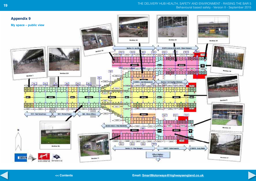#### <span id="page-18-0"></span>The delivery hub Health, safety and environment - raising the bar 5 Behavioural based safety - Version II - September 2015 **19**



**<< Contents**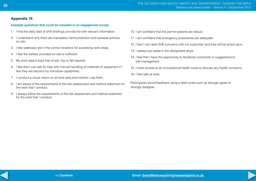#### <span id="page-19-0"></span>**Example questions that could be included in an engagement survey**

- 1. I find the daily start of shift briefings provide me with relevant information.
- 2. I understand why there are mandatory hand protection and eyewear policies on site.
- 3. I feel walkways are in the correct locations for accessing work areas.
- 4. I feel the welfare provided on site is sufficient.
- 5. My work area is kept free of slip, trip or fall hazards.
- 6. I feel that I can ask for help with manual handling of materials or equipment if I feel they are beyond my individual capabilities.
- 7. I conduct a visual check on all tools and plant before I use them.
- 8. I am aware of the requirements of the risk assessment and method statement for the work that I conduct.
- 9. I always follow the requirements of the risk assessment and method statement for the work that I conduct.
- 10. I am confident that the permit systems are robust.
- 11. I am confident that emergency procedures are adequate.
- 12. I feel I can raise SHE concerns with my supervisor and they will be acted upon.
- 13. I always put waste in the designated skips.
- 14. I feel that I have the opportunity to feedback comments or suggestions to site management.
- 15. I have access to an occupational health nurse to discuss any health concerns.
- 16. I feel safe at work.

Participants would feedback using a likert scale such as strongly agree to strongly disagree.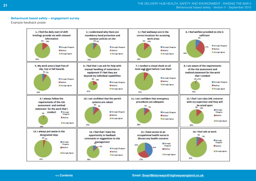#### **Behavioural based safety – engagement survey**

Example feedback poster.